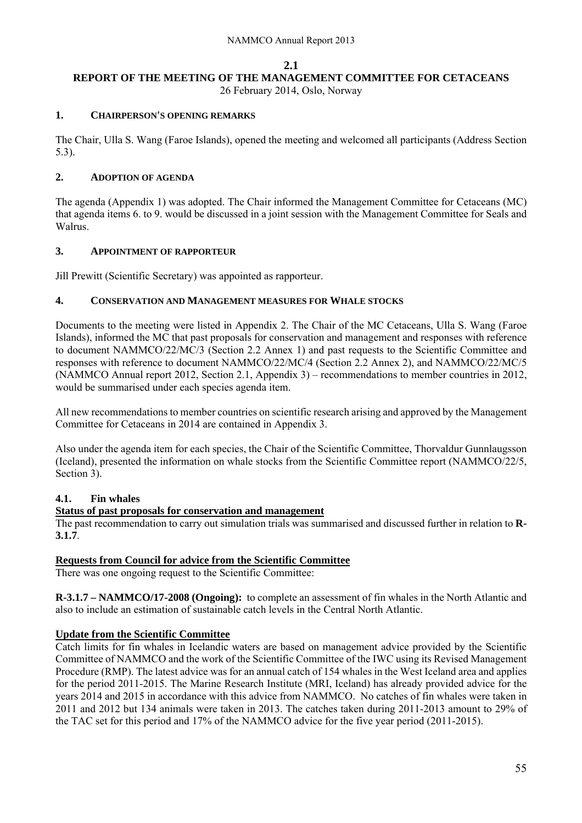#### **2.1**

## **REPORT OF THE MEETING OF THE MANAGEMENT COMMITTEE FOR CETACEANS**

26 February 2014, Oslo, Norway

#### **1. CHAIRPERSON'S OPENING REMARKS**

The Chair, Ulla S. Wang (Faroe Islands), opened the meeting and welcomed all participants (Address Section 5.3).

## **2. ADOPTION OF AGENDA**

The agenda (Appendix 1) was adopted. The Chair informed the Management Committee for Cetaceans (MC) that agenda items 6. to 9. would be discussed in a joint session with the Management Committee for Seals and Walrus.

## **3. APPOINTMENT OF RAPPORTEUR**

Jill Prewitt (Scientific Secretary) was appointed as rapporteur.

## **4. CONSERVATION AND MANAGEMENT MEASURES FOR WHALE STOCKS**

Documents to the meeting were listed in Appendix 2. The Chair of the MC Cetaceans, Ulla S. Wang (Faroe Islands), informed the MC that past proposals for conservation and management and responses with reference to document NAMMCO/22/MC/3 (Section 2.2 Annex 1) and past requests to the Scientific Committee and responses with reference to document NAMMCO/22/MC/4 (Section 2.2 Annex 2), and NAMMCO/22/MC/5 (NAMMCO Annual report 2012, Section 2.1, Appendix 3) – recommendations to member countries in 2012, would be summarised under each species agenda item.

All new recommendations to member countries on scientific research arising and approved by the Management Committee for Cetaceans in 2014 are contained in Appendix 3.

Also under the agenda item for each species, the Chair of the Scientific Committee, Thorvaldur Gunnlaugsson (Iceland), presented the information on whale stocks from the Scientific Committee report (NAMMCO/22/5, Section 3).

## **4.1. Fin whales**

## **Status of past proposals for conservation and management**

The past recommendation to carry out simulation trials was summarised and discussed further in relation to **R-3.1.7**.

## **Requests from Council for advice from the Scientific Committee**

There was one ongoing request to the Scientific Committee:

**R-3.1.7 – NAMMCO/17-2008 (Ongoing):** to complete an assessment of fin whales in the North Atlantic and also to include an estimation of sustainable catch levels in the Central North Atlantic.

## **Update from the Scientific Committee**

Catch limits for fin whales in Icelandic waters are based on management advice provided by the Scientific Committee of NAMMCO and the work of the Scientific Committee of the IWC using its Revised Management Procedure (RMP). The latest advice was for an annual catch of 154 whales in the West Iceland area and applies for the period 2011-2015. The Marine Research Institute (MRI, Iceland) has already provided advice for the years 2014 and 2015 in accordance with this advice from NAMMCO. No catches of fin whales were taken in 2011 and 2012 but 134 animals were taken in 2013. The catches taken during 2011-2013 amount to 29% of the TAC set for this period and 17% of the NAMMCO advice for the five year period (2011-2015).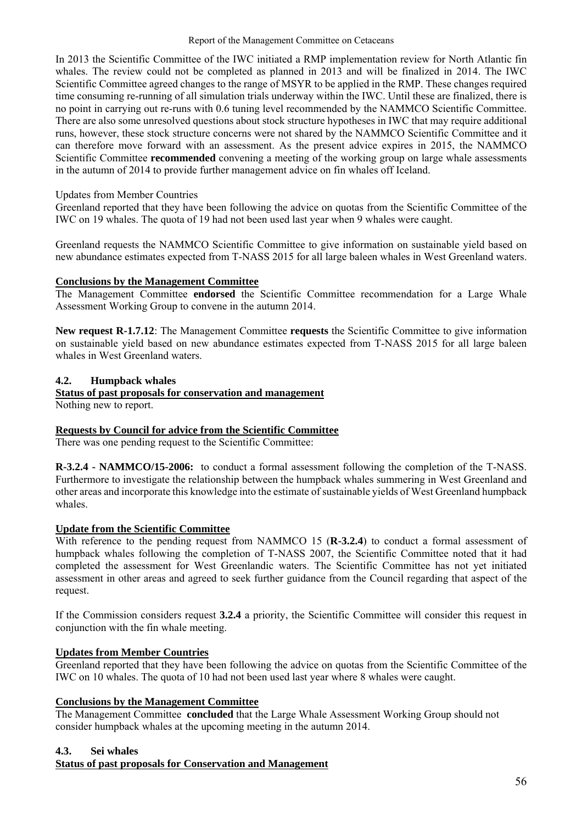In 2013 the Scientific Committee of the IWC initiated a RMP implementation review for North Atlantic fin whales. The review could not be completed as planned in 2013 and will be finalized in 2014. The IWC Scientific Committee agreed changes to the range of MSYR to be applied in the RMP. These changes required time consuming re-running of all simulation trials underway within the IWC. Until these are finalized, there is no point in carrying out re-runs with 0.6 tuning level recommended by the NAMMCO Scientific Committee. There are also some unresolved questions about stock structure hypotheses in IWC that may require additional runs, however, these stock structure concerns were not shared by the NAMMCO Scientific Committee and it can therefore move forward with an assessment. As the present advice expires in 2015, the NAMMCO Scientific Committee **recommended** convening a meeting of the working group on large whale assessments in the autumn of 2014 to provide further management advice on fin whales off Iceland.

## Updates from Member Countries

Greenland reported that they have been following the advice on quotas from the Scientific Committee of the IWC on 19 whales. The quota of 19 had not been used last year when 9 whales were caught.

Greenland requests the NAMMCO Scientific Committee to give information on sustainable yield based on new abundance estimates expected from T-NASS 2015 for all large baleen whales in West Greenland waters.

## **Conclusions by the Management Committee**

The Management Committee **endorsed** the Scientific Committee recommendation for a Large Whale Assessment Working Group to convene in the autumn 2014.

**New request R-1.7.12**: The Management Committee **requests** the Scientific Committee to give information on sustainable yield based on new abundance estimates expected from T-NASS 2015 for all large baleen whales in West Greenland waters.

## **4.2. Humpback whales**

# **Status of past proposals for conservation and management**

Nothing new to report.

## **Requests by Council for advice from the Scientific Committee**

There was one pending request to the Scientific Committee:

**R-3.2.4 - NAMMCO/15-2006:** to conduct a formal assessment following the completion of the T-NASS. Furthermore to investigate the relationship between the humpback whales summering in West Greenland and other areas and incorporate this knowledge into the estimate of sustainable yields of West Greenland humpback whales.

## **Update from the Scientific Committee**

With reference to the pending request from NAMMCO 15 (**R-3.2.4**) to conduct a formal assessment of humpback whales following the completion of T-NASS 2007, the Scientific Committee noted that it had completed the assessment for West Greenlandic waters. The Scientific Committee has not yet initiated assessment in other areas and agreed to seek further guidance from the Council regarding that aspect of the request.

If the Commission considers request **3.2.4** a priority, the Scientific Committee will consider this request in conjunction with the fin whale meeting.

## **Updates from Member Countries**

Greenland reported that they have been following the advice on quotas from the Scientific Committee of the IWC on 10 whales. The quota of 10 had not been used last year where 8 whales were caught.

#### **Conclusions by the Management Committee**

The Management Committee **concluded** that the Large Whale Assessment Working Group should not consider humpback whales at the upcoming meeting in the autumn 2014.

## **4.3. Sei whales**

## **Status of past proposals for Conservation and Management**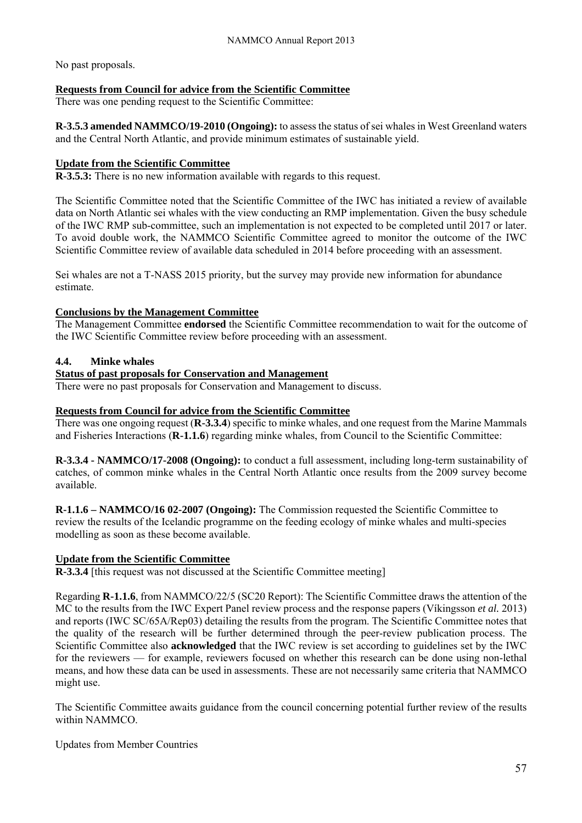No past proposals.

## **Requests from Council for advice from the Scientific Committee**

There was one pending request to the Scientific Committee:

**R-3.5.3 amended NAMMCO/19-2010 (Ongoing):** to assess the status of sei whales in West Greenland waters and the Central North Atlantic, and provide minimum estimates of sustainable yield.

## **Update from the Scientific Committee**

**R-3.5.3:** There is no new information available with regards to this request.

The Scientific Committee noted that the Scientific Committee of the IWC has initiated a review of available data on North Atlantic sei whales with the view conducting an RMP implementation. Given the busy schedule of the IWC RMP sub-committee, such an implementation is not expected to be completed until 2017 or later. To avoid double work, the NAMMCO Scientific Committee agreed to monitor the outcome of the IWC Scientific Committee review of available data scheduled in 2014 before proceeding with an assessment.

Sei whales are not a T-NASS 2015 priority, but the survey may provide new information for abundance estimate.

## **Conclusions by the Management Committee**

The Management Committee **endorsed** the Scientific Committee recommendation to wait for the outcome of the IWC Scientific Committee review before proceeding with an assessment.

## **4.4. Minke whales**

## **Status of past proposals for Conservation and Management**

There were no past proposals for Conservation and Management to discuss.

## **Requests from Council for advice from the Scientific Committee**

There was one ongoing request (**R-3.3.4**) specific to minke whales, and one request from the Marine Mammals and Fisheries Interactions (**R-1.1.6**) regarding minke whales, from Council to the Scientific Committee:

**R-3.3.4 - NAMMCO/17-2008 (Ongoing):** to conduct a full assessment, including long-term sustainability of catches, of common minke whales in the Central North Atlantic once results from the 2009 survey become available.

**R-1.1.6 – NAMMCO/16 02-2007 (Ongoing):** The Commission requested the Scientific Committee to review the results of the Icelandic programme on the feeding ecology of minke whales and multi-species modelling as soon as these become available.

## **Update from the Scientific Committee**

**R-3.3.4** [this request was not discussed at the Scientific Committee meeting]

Regarding **R-1.1.6**, from NAMMCO/22/5 (SC20 Report): The Scientific Committee draws the attention of the MC to the results from the IWC Expert Panel review process and the response papers (Víkingsson *et al.* 2013) and reports (IWC SC/65A/Rep03) detailing the results from the program. The Scientific Committee notes that the quality of the research will be further determined through the peer-review publication process. The Scientific Committee also **acknowledged** that the IWC review is set according to guidelines set by the IWC for the reviewers — for example, reviewers focused on whether this research can be done using non-lethal means, and how these data can be used in assessments. These are not necessarily same criteria that NAMMCO might use.

The Scientific Committee awaits guidance from the council concerning potential further review of the results within NAMMCO.

Updates from Member Countries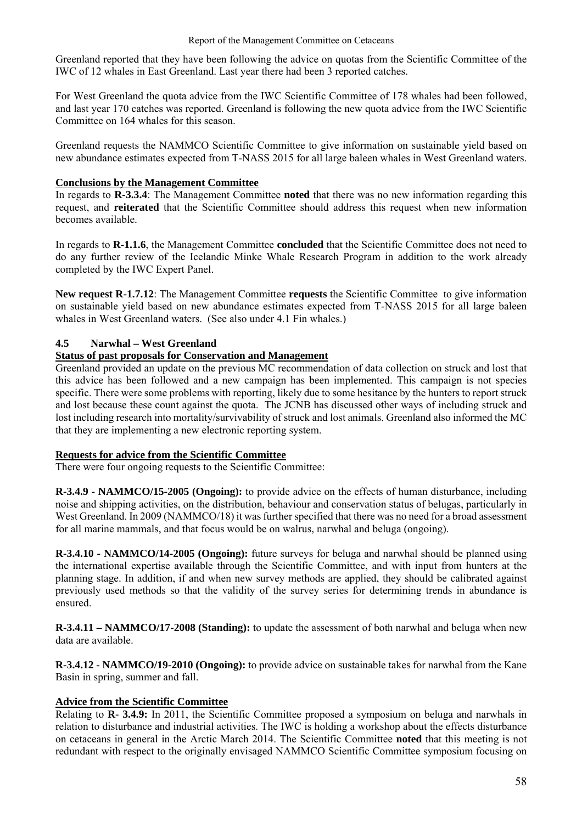Greenland reported that they have been following the advice on quotas from the Scientific Committee of the IWC of 12 whales in East Greenland. Last year there had been 3 reported catches.

For West Greenland the quota advice from the IWC Scientific Committee of 178 whales had been followed, and last year 170 catches was reported. Greenland is following the new quota advice from the IWC Scientific Committee on 164 whales for this season.

Greenland requests the NAMMCO Scientific Committee to give information on sustainable yield based on new abundance estimates expected from T-NASS 2015 for all large baleen whales in West Greenland waters.

### **Conclusions by the Management Committee**

In regards to **R-3.3.4**: The Management Committee **noted** that there was no new information regarding this request, and **reiterated** that the Scientific Committee should address this request when new information becomes available.

In regards to **R-1.1.6**, the Management Committee **concluded** that the Scientific Committee does not need to do any further review of the Icelandic Minke Whale Research Program in addition to the work already completed by the IWC Expert Panel.

**New request R-1.7.12**: The Management Committee **requests** the Scientific Committee to give information on sustainable yield based on new abundance estimates expected from T-NASS 2015 for all large baleen whales in West Greenland waters. (See also under 4.1 Fin whales.)

### **4.5 Narwhal – West Greenland**

#### **Status of past proposals for Conservation and Management**

Greenland provided an update on the previous MC recommendation of data collection on struck and lost that this advice has been followed and a new campaign has been implemented. This campaign is not species specific. There were some problems with reporting, likely due to some hesitance by the hunters to report struck and lost because these count against the quota. The JCNB has discussed other ways of including struck and lost including research into mortality/survivability of struck and lost animals. Greenland also informed the MC that they are implementing a new electronic reporting system.

#### **Requests for advice from the Scientific Committee**

There were four ongoing requests to the Scientific Committee:

**R-3.4.9 - NAMMCO/15-2005 (Ongoing):** to provide advice on the effects of human disturbance, including noise and shipping activities, on the distribution, behaviour and conservation status of belugas, particularly in West Greenland. In 2009 (NAMMCO/18) it was further specified that there was no need for a broad assessment for all marine mammals, and that focus would be on walrus, narwhal and beluga (ongoing).

**R-3.4.10 - NAMMCO/14-2005 (Ongoing):** future surveys for beluga and narwhal should be planned using the international expertise available through the Scientific Committee, and with input from hunters at the planning stage. In addition, if and when new survey methods are applied, they should be calibrated against previously used methods so that the validity of the survey series for determining trends in abundance is ensured.

**R-3.4.11 – NAMMCO/17-2008 (Standing):** to update the assessment of both narwhal and beluga when new data are available.

**R-3.4.12 - NAMMCO/19-2010 (Ongoing):** to provide advice on sustainable takes for narwhal from the Kane Basin in spring, summer and fall.

#### **Advice from the Scientific Committee**

Relating to **R- 3.4.9:** In 2011, the Scientific Committee proposed a symposium on beluga and narwhals in relation to disturbance and industrial activities. The IWC is holding a workshop about the effects disturbance on cetaceans in general in the Arctic March 2014. The Scientific Committee **noted** that this meeting is not redundant with respect to the originally envisaged NAMMCO Scientific Committee symposium focusing on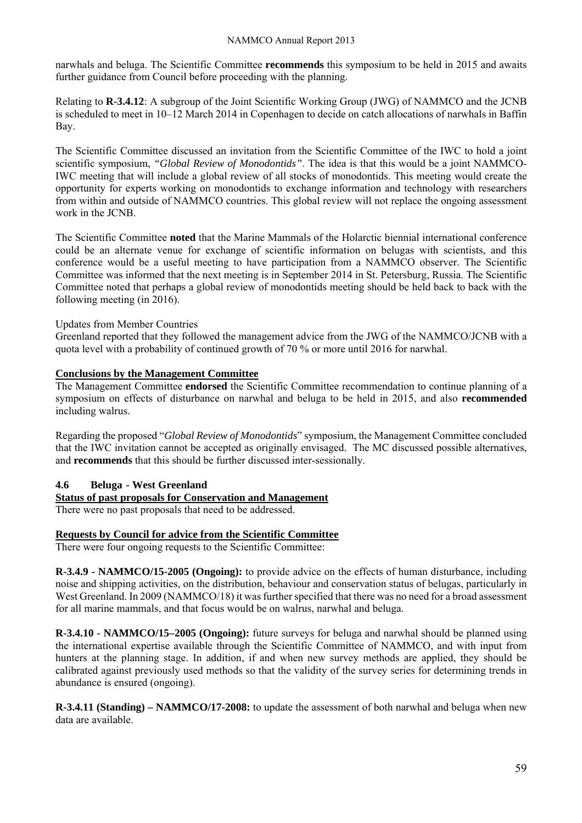#### NAMMCO Annual Report 2013

narwhals and beluga. The Scientific Committee **recommends** this symposium to be held in 2015 and awaits further guidance from Council before proceeding with the planning.

Relating to **R-3.4.12**: A subgroup of the Joint Scientific Working Group (JWG) of NAMMCO and the JCNB is scheduled to meet in 10–12 March 2014 in Copenhagen to decide on catch allocations of narwhals in Baffin Bay.

The Scientific Committee discussed an invitation from the Scientific Committee of the IWC to hold a joint scientific symposium, *"Global Review of Monodontids"*. The idea is that this would be a joint NAMMCO-IWC meeting that will include a global review of all stocks of monodontids. This meeting would create the opportunity for experts working on monodontids to exchange information and technology with researchers from within and outside of NAMMCO countries. This global review will not replace the ongoing assessment work in the JCNB.

The Scientific Committee **noted** that the Marine Mammals of the Holarctic biennial international conference could be an alternate venue for exchange of scientific information on belugas with scientists, and this conference would be a useful meeting to have participation from a NAMMCO observer. The Scientific Committee was informed that the next meeting is in September 2014 in St. Petersburg, Russia. The Scientific Committee noted that perhaps a global review of monodontids meeting should be held back to back with the following meeting (in 2016).

### Updates from Member Countries

Greenland reported that they followed the management advice from the JWG of the NAMMCO/JCNB with a quota level with a probability of continued growth of 70 % or more until 2016 for narwhal.

## **Conclusions by the Management Committee**

The Management Committee **endorsed** the Scientific Committee recommendation to continue planning of a symposium on effects of disturbance on narwhal and beluga to be held in 2015, and also **recommended** including walrus.

Regarding the proposed "*Global Review of Monodontids*" symposium, the Management Committee concluded that the IWC invitation cannot be accepted as originally envisaged. The MC discussed possible alternatives, and **recommends** that this should be further discussed inter-sessionally.

#### **4.6 Beluga - West Greenland**

## **Status of past proposals for Conservation and Management**

There were no past proposals that need to be addressed.

## **Requests by Council for advice from the Scientific Committee**

There were four ongoing requests to the Scientific Committee:

**R-3.4.9 - NAMMCO/15-2005 (Ongoing):** to provide advice on the effects of human disturbance, including noise and shipping activities, on the distribution, behaviour and conservation status of belugas, particularly in West Greenland. In 2009 (NAMMCO/18) it was further specified that there was no need for a broad assessment for all marine mammals, and that focus would be on walrus, narwhal and beluga.

**R-3.4.10 - NAMMCO/15–2005 (Ongoing):** future surveys for beluga and narwhal should be planned using the international expertise available through the Scientific Committee of NAMMCO, and with input from hunters at the planning stage. In addition, if and when new survey methods are applied, they should be calibrated against previously used methods so that the validity of the survey series for determining trends in abundance is ensured (ongoing).

**R-3.4.11 (Standing) – NAMMCO/17-2008:** to update the assessment of both narwhal and beluga when new data are available.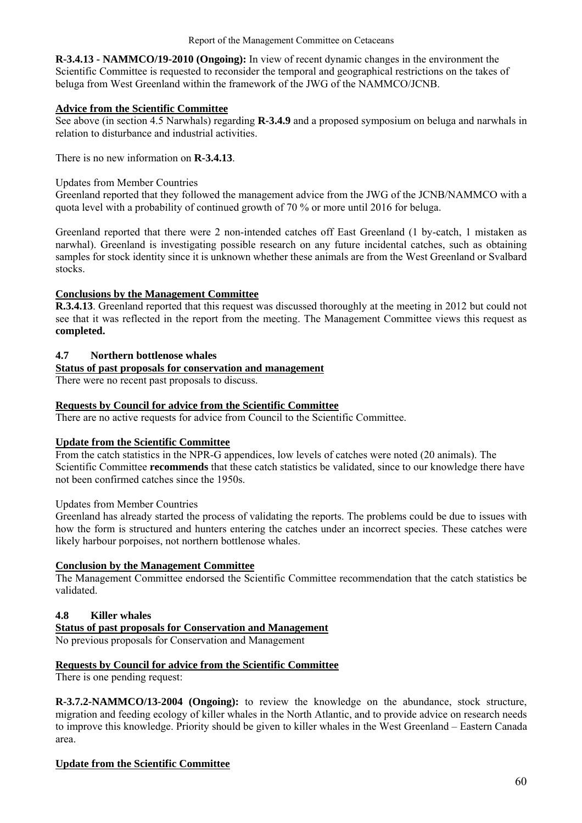**R-3.4.13 - NAMMCO/19-2010 (Ongoing):** In view of recent dynamic changes in the environment the Scientific Committee is requested to reconsider the temporal and geographical restrictions on the takes of beluga from West Greenland within the framework of the JWG of the NAMMCO/JCNB.

## **Advice from the Scientific Committee**

See above (in section 4.5 Narwhals) regarding **R-3.4.9** and a proposed symposium on beluga and narwhals in relation to disturbance and industrial activities.

There is no new information on **R-3.4.13**.

#### Updates from Member Countries

Greenland reported that they followed the management advice from the JWG of the JCNB/NAMMCO with a quota level with a probability of continued growth of 70 % or more until 2016 for beluga.

Greenland reported that there were 2 non-intended catches off East Greenland (1 by-catch, 1 mistaken as narwhal). Greenland is investigating possible research on any future incidental catches, such as obtaining samples for stock identity since it is unknown whether these animals are from the West Greenland or Svalbard stocks.

### **Conclusions by the Management Committee**

**R.3.4.13**. Greenland reported that this request was discussed thoroughly at the meeting in 2012 but could not see that it was reflected in the report from the meeting. The Management Committee views this request as **completed.** 

### **4.7 Northern bottlenose whales**

## **Status of past proposals for conservation and management**

There were no recent past proposals to discuss.

### **Requests by Council for advice from the Scientific Committee**

There are no active requests for advice from Council to the Scientific Committee.

#### **Update from the Scientific Committee**

From the catch statistics in the NPR-G appendices, low levels of catches were noted (20 animals). The Scientific Committee **recommends** that these catch statistics be validated, since to our knowledge there have not been confirmed catches since the 1950s.

#### Updates from Member Countries

Greenland has already started the process of validating the reports. The problems could be due to issues with how the form is structured and hunters entering the catches under an incorrect species. These catches were likely harbour porpoises, not northern bottlenose whales.

### **Conclusion by the Management Committee**

The Management Committee endorsed the Scientific Committee recommendation that the catch statistics be validated.

## **4.8 Killer whales**

**Status of past proposals for Conservation and Management** 

No previous proposals for Conservation and Management

#### **Requests by Council for advice from the Scientific Committee**

There is one pending request:

**R-3.7.2-NAMMCO/13-2004 (Ongoing):** to review the knowledge on the abundance, stock structure, migration and feeding ecology of killer whales in the North Atlantic, and to provide advice on research needs to improve this knowledge. Priority should be given to killer whales in the West Greenland – Eastern Canada area.

#### **Update from the Scientific Committee**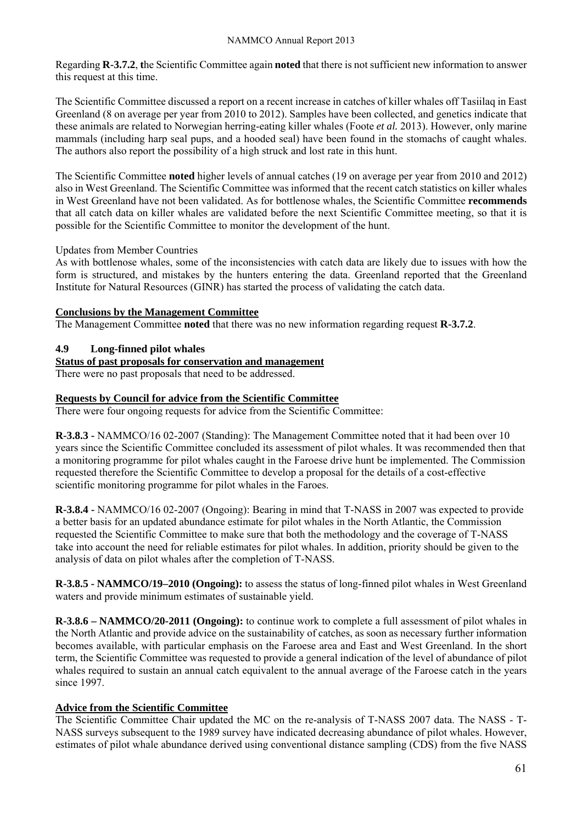Regarding **R-3.7.2**, **t**he Scientific Committee again **noted** that there is not sufficient new information to answer this request at this time.

The Scientific Committee discussed a report on a recent increase in catches of killer whales off Tasiilaq in East Greenland (8 on average per year from 2010 to 2012). Samples have been collected, and genetics indicate that these animals are related to Norwegian herring-eating killer whales (Foote *et al.* 2013). However, only marine mammals (including harp seal pups, and a hooded seal) have been found in the stomachs of caught whales. The authors also report the possibility of a high struck and lost rate in this hunt.

The Scientific Committee **noted** higher levels of annual catches (19 on average per year from 2010 and 2012) also in West Greenland. The Scientific Committee was informed that the recent catch statistics on killer whales in West Greenland have not been validated. As for bottlenose whales, the Scientific Committee **recommends**  that all catch data on killer whales are validated before the next Scientific Committee meeting, so that it is possible for the Scientific Committee to monitor the development of the hunt.

### Updates from Member Countries

As with bottlenose whales, some of the inconsistencies with catch data are likely due to issues with how the form is structured, and mistakes by the hunters entering the data. Greenland reported that the Greenland Institute for Natural Resources (GINR) has started the process of validating the catch data.

## **Conclusions by the Management Committee**

The Management Committee **noted** that there was no new information regarding request **R-3.7.2**.

## **4.9 Long-finned pilot whales**

### **Status of past proposals for conservation and management**

There were no past proposals that need to be addressed.

### **Requests by Council for advice from the Scientific Committee**

There were four ongoing requests for advice from the Scientific Committee:

**R-3.8.3 -** NAMMCO/16 02-2007 (Standing): The Management Committee noted that it had been over 10 years since the Scientific Committee concluded its assessment of pilot whales. It was recommended then that a monitoring programme for pilot whales caught in the Faroese drive hunt be implemented. The Commission requested therefore the Scientific Committee to develop a proposal for the details of a cost-effective scientific monitoring programme for pilot whales in the Faroes.

**R-3.8.4 -** NAMMCO/16 02-2007 (Ongoing): Bearing in mind that T-NASS in 2007 was expected to provide a better basis for an updated abundance estimate for pilot whales in the North Atlantic, the Commission requested the Scientific Committee to make sure that both the methodology and the coverage of T-NASS take into account the need for reliable estimates for pilot whales. In addition, priority should be given to the analysis of data on pilot whales after the completion of T-NASS.

**R-3.8.5 - NAMMCO/19–2010 (Ongoing):** to assess the status of long-finned pilot whales in West Greenland waters and provide minimum estimates of sustainable yield.

**R-3.8.6 – NAMMCO/20-2011 (Ongoing):** to continue work to complete a full assessment of pilot whales in the North Atlantic and provide advice on the sustainability of catches, as soon as necessary further information becomes available, with particular emphasis on the Faroese area and East and West Greenland. In the short term, the Scientific Committee was requested to provide a general indication of the level of abundance of pilot whales required to sustain an annual catch equivalent to the annual average of the Faroese catch in the years since 1997.

## **Advice from the Scientific Committee**

The Scientific Committee Chair updated the MC on the re-analysis of T-NASS 2007 data. The NASS - T-NASS surveys subsequent to the 1989 survey have indicated decreasing abundance of pilot whales. However, estimates of pilot whale abundance derived using conventional distance sampling (CDS) from the five NASS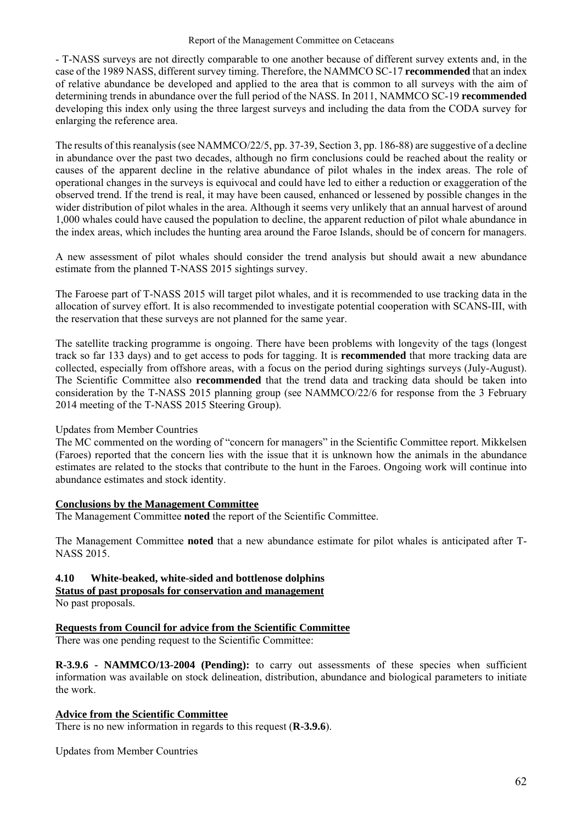#### Report of the Management Committee on Cetaceans

- T-NASS surveys are not directly comparable to one another because of different survey extents and, in the case of the 1989 NASS, different survey timing. Therefore, the NAMMCO SC-17 **recommended** that an index of relative abundance be developed and applied to the area that is common to all surveys with the aim of determining trends in abundance over the full period of the NASS. In 2011, NAMMCO SC-19 **recommended** developing this index only using the three largest surveys and including the data from the CODA survey for enlarging the reference area.

The results of this reanalysis (see NAMMCO/22/5, pp. 37-39, Section 3, pp. 186-88) are suggestive of a decline in abundance over the past two decades, although no firm conclusions could be reached about the reality or causes of the apparent decline in the relative abundance of pilot whales in the index areas. The role of operational changes in the surveys is equivocal and could have led to either a reduction or exaggeration of the observed trend. If the trend is real, it may have been caused, enhanced or lessened by possible changes in the wider distribution of pilot whales in the area. Although it seems very unlikely that an annual harvest of around 1,000 whales could have caused the population to decline, the apparent reduction of pilot whale abundance in the index areas, which includes the hunting area around the Faroe Islands, should be of concern for managers.

A new assessment of pilot whales should consider the trend analysis but should await a new abundance estimate from the planned T-NASS 2015 sightings survey.

The Faroese part of T-NASS 2015 will target pilot whales, and it is recommended to use tracking data in the allocation of survey effort. It is also recommended to investigate potential cooperation with SCANS-III, with the reservation that these surveys are not planned for the same year.

The satellite tracking programme is ongoing. There have been problems with longevity of the tags (longest track so far 133 days) and to get access to pods for tagging. It is **recommended** that more tracking data are collected, especially from offshore areas, with a focus on the period during sightings surveys (July-August). The Scientific Committee also **recommended** that the trend data and tracking data should be taken into consideration by the T-NASS 2015 planning group (see NAMMCO/22/6 for response from the 3 February 2014 meeting of the T-NASS 2015 Steering Group).

#### Updates from Member Countries

The MC commented on the wording of "concern for managers" in the Scientific Committee report. Mikkelsen (Faroes) reported that the concern lies with the issue that it is unknown how the animals in the abundance estimates are related to the stocks that contribute to the hunt in the Faroes. Ongoing work will continue into abundance estimates and stock identity.

#### **Conclusions by the Management Committee**

The Management Committee **noted** the report of the Scientific Committee.

The Management Committee **noted** that a new abundance estimate for pilot whales is anticipated after T-NASS 2015.

#### **4.10 White-beaked, white-sided and bottlenose dolphins Status of past proposals for conservation and management**

No past proposals.

## **Requests from Council for advice from the Scientific Committee**

There was one pending request to the Scientific Committee:

**R-3.9.6 - NAMMCO/13-2004 (Pending):** to carry out assessments of these species when sufficient information was available on stock delineation, distribution, abundance and biological parameters to initiate the work.

#### **Advice from the Scientific Committee**

There is no new information in regards to this request (**R-3.9.6**).

Updates from Member Countries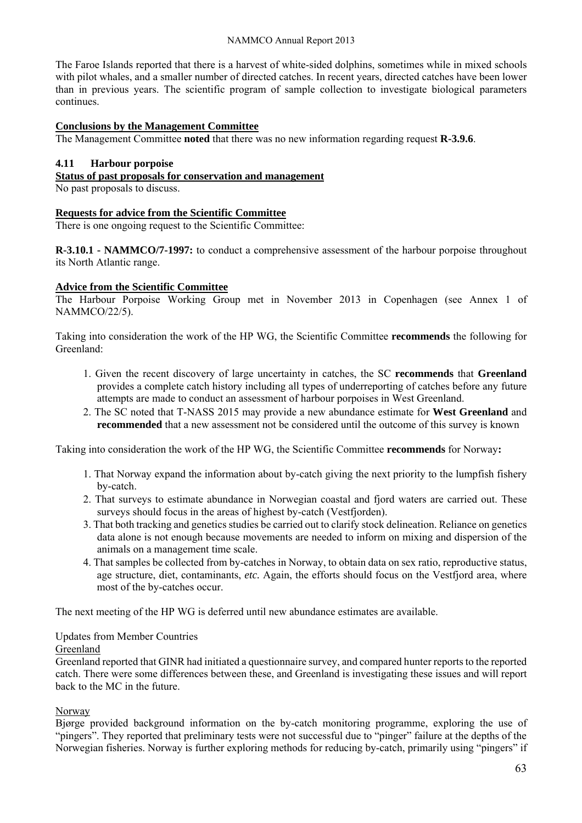#### NAMMCO Annual Report 2013

The Faroe Islands reported that there is a harvest of white-sided dolphins, sometimes while in mixed schools with pilot whales, and a smaller number of directed catches. In recent years, directed catches have been lower than in previous years. The scientific program of sample collection to investigate biological parameters continues.

### **Conclusions by the Management Committee**

The Management Committee **noted** that there was no new information regarding request **R-3.9.6**.

#### **4.11 Harbour porpoise**

#### **Status of past proposals for conservation and management**

No past proposals to discuss.

#### **Requests for advice from the Scientific Committee**

There is one ongoing request to the Scientific Committee:

**R-3.10.1 - NAMMCO/7-1997:** to conduct a comprehensive assessment of the harbour porpoise throughout its North Atlantic range.

#### **Advice from the Scientific Committee**

The Harbour Porpoise Working Group met in November 2013 in Copenhagen (see Annex 1 of NAMMCO/22/5).

Taking into consideration the work of the HP WG, the Scientific Committee **recommends** the following for Greenland:

- 1. Given the recent discovery of large uncertainty in catches, the SC **recommends** that **Greenland**  provides a complete catch history including all types of underreporting of catches before any future attempts are made to conduct an assessment of harbour porpoises in West Greenland.
- 2. The SC noted that T-NASS 2015 may provide a new abundance estimate for **West Greenland** and **recommended** that a new assessment not be considered until the outcome of this survey is known

Taking into consideration the work of the HP WG, the Scientific Committee **recommends** for Norway**:** 

- 1. That Norway expand the information about by-catch giving the next priority to the lumpfish fishery by-catch.
- 2. That surveys to estimate abundance in Norwegian coastal and fjord waters are carried out. These surveys should focus in the areas of highest by-catch (Vestfjorden).
- 3. That both tracking and genetics studies be carried out to clarify stock delineation. Reliance on genetics data alone is not enough because movements are needed to inform on mixing and dispersion of the animals on a management time scale.
- 4. That samples be collected from by-catches in Norway, to obtain data on sex ratio, reproductive status, age structure, diet, contaminants, *etc.* Again, the efforts should focus on the Vestfjord area, where most of the by-catches occur.

The next meeting of the HP WG is deferred until new abundance estimates are available.

Updates from Member Countries

#### Greenland

Greenland reported that GINR had initiated a questionnaire survey, and compared hunter reports to the reported catch. There were some differences between these, and Greenland is investigating these issues and will report back to the MC in the future.

#### Norway

Bjørge provided background information on the by-catch monitoring programme, exploring the use of "pingers". They reported that preliminary tests were not successful due to "pinger" failure at the depths of the Norwegian fisheries. Norway is further exploring methods for reducing by-catch, primarily using "pingers" if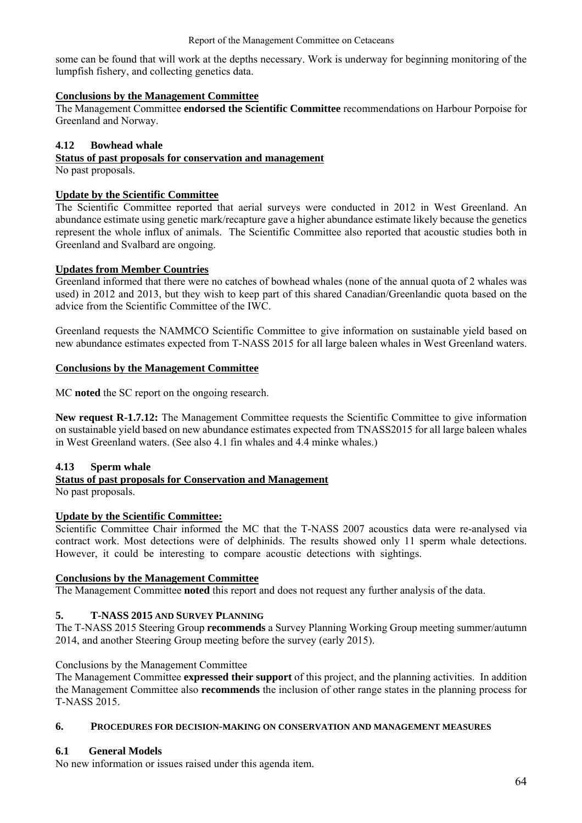some can be found that will work at the depths necessary. Work is underway for beginning monitoring of the lumpfish fishery, and collecting genetics data.

### **Conclusions by the Management Committee**

The Management Committee **endorsed the Scientific Committee** recommendations on Harbour Porpoise for Greenland and Norway.

### **4.12 Bowhead whale**

## **Status of past proposals for conservation and management**

No past proposals.

#### **Update by the Scientific Committee**

The Scientific Committee reported that aerial surveys were conducted in 2012 in West Greenland. An abundance estimate using genetic mark/recapture gave a higher abundance estimate likely because the genetics represent the whole influx of animals. The Scientific Committee also reported that acoustic studies both in Greenland and Svalbard are ongoing.

### **Updates from Member Countries**

Greenland informed that there were no catches of bowhead whales (none of the annual quota of 2 whales was used) in 2012 and 2013, but they wish to keep part of this shared Canadian/Greenlandic quota based on the advice from the Scientific Committee of the IWC.

Greenland requests the NAMMCO Scientific Committee to give information on sustainable yield based on new abundance estimates expected from T-NASS 2015 for all large baleen whales in West Greenland waters.

#### **Conclusions by the Management Committee**

MC **noted** the SC report on the ongoing research.

**New request R-1.7.12:** The Management Committee requests the Scientific Committee to give information on sustainable yield based on new abundance estimates expected from TNASS2015 for all large baleen whales in West Greenland waters. (See also 4.1 fin whales and 4.4 minke whales.)

#### **4.13 Sperm whale**

#### **Status of past proposals for Conservation and Management**

No past proposals.

## **Update by the Scientific Committee:**

Scientific Committee Chair informed the MC that the T-NASS 2007 acoustics data were re-analysed via contract work. Most detections were of delphinids. The results showed only 11 sperm whale detections. However, it could be interesting to compare acoustic detections with sightings.

#### **Conclusions by the Management Committee**

The Management Committee **noted** this report and does not request any further analysis of the data.

## **5. T-NASS 2015 AND SURVEY PLANNING**

The T-NASS 2015 Steering Group **recommends** a Survey Planning Working Group meeting summer/autumn 2014, and another Steering Group meeting before the survey (early 2015).

#### Conclusions by the Management Committee

The Management Committee **expressed their support** of this project, and the planning activities. In addition the Management Committee also **recommends** the inclusion of other range states in the planning process for T-NASS 2015.

#### **6. PROCEDURES FOR DECISION-MAKING ON CONSERVATION AND MANAGEMENT MEASURES**

## **6.1 General Models**

No new information or issues raised under this agenda item.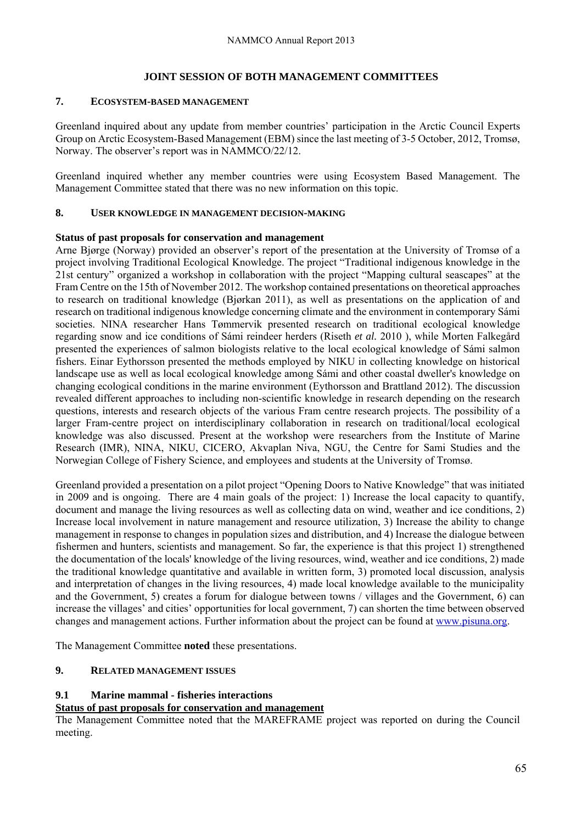#### **JOINT SESSION OF BOTH MANAGEMENT COMMITTEES**

#### **7. ECOSYSTEM-BASED MANAGEMENT**

Greenland inquired about any update from member countries' participation in the Arctic Council Experts Group on Arctic Ecosystem-Based Management (EBM) since the last meeting of 3-5 October, 2012, Tromsø, Norway. The observer's report was in NAMMCO/22/12.

Greenland inquired whether any member countries were using Ecosystem Based Management. The Management Committee stated that there was no new information on this topic.

#### **8. USER KNOWLEDGE IN MANAGEMENT DECISION-MAKING**

#### **Status of past proposals for conservation and management**

Arne Bjørge (Norway) provided an observer's report of the presentation at the University of Tromsø of a project involving Traditional Ecological Knowledge. The project "Traditional indigenous knowledge in the 21st century" organized a workshop in collaboration with the project "Mapping cultural seascapes" at the Fram Centre on the 15th of November 2012. The workshop contained presentations on theoretical approaches to research on traditional knowledge (Bjørkan 2011), as well as presentations on the application of and research on traditional indigenous knowledge concerning climate and the environment in contemporary Sámi societies. NINA researcher Hans Tømmervik presented research on traditional ecological knowledge regarding snow and ice conditions of Sámi reindeer herders (Riseth *et al.* 2010 ), while Morten Falkegård presented the experiences of salmon biologists relative to the local ecological knowledge of Sámi salmon fishers. Einar Eythorsson presented the methods employed by NIKU in collecting knowledge on historical landscape use as well as local ecological knowledge among Sámi and other coastal dweller's knowledge on changing ecological conditions in the marine environment (Eythorsson and Brattland 2012). The discussion revealed different approaches to including non-scientific knowledge in research depending on the research questions, interests and research objects of the various Fram centre research projects. The possibility of a larger Fram-centre project on interdisciplinary collaboration in research on traditional/local ecological knowledge was also discussed. Present at the workshop were researchers from the Institute of Marine Research (IMR), NINA, NIKU, CICERO, Akvaplan Niva, NGU, the Centre for Sami Studies and the Norwegian College of Fishery Science, and employees and students at the University of Tromsø.

Greenland provided a presentation on a pilot project "Opening Doors to Native Knowledge" that was initiated in 2009 and is ongoing. There are 4 main goals of the project: 1) Increase the local capacity to quantify, document and manage the living resources as well as collecting data on wind, weather and ice conditions, 2) Increase local involvement in nature management and resource utilization, 3) Increase the ability to change management in response to changes in population sizes and distribution, and 4) Increase the dialogue between fishermen and hunters, scientists and management. So far, the experience is that this project 1) strengthened the documentation of the locals' knowledge of the living resources, wind, weather and ice conditions, 2) made the traditional knowledge quantitative and available in written form, 3) promoted local discussion, analysis and interpretation of changes in the living resources, 4) made local knowledge available to the municipality and the Government, 5) creates a forum for dialogue between towns / villages and the Government, 6) can increase the villages' and cities' opportunities for local government, 7) can shorten the time between observed changes and management actions. Further information about the project can be found at www.pisuna.org.

The Management Committee **noted** these presentations.

## **9. RELATED MANAGEMENT ISSUES**

#### **9.1 Marine mammal - fisheries interactions**

## **Status of past proposals for conservation and management**

The Management Committee noted that the MAREFRAME project was reported on during the Council meeting.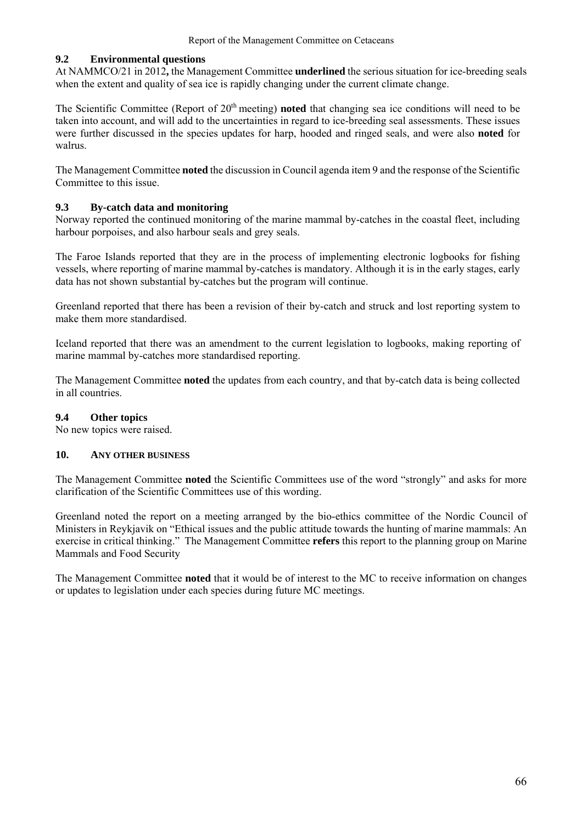#### **9.2 Environmental questions**

At NAMMCO/21 in 2012**,** the Management Committee **underlined** the serious situation for ice-breeding seals when the extent and quality of sea ice is rapidly changing under the current climate change.

The Scientific Committee (Report of 20<sup>th</sup> meeting) **noted** that changing sea ice conditions will need to be taken into account, and will add to the uncertainties in regard to ice-breeding seal assessments. These issues were further discussed in the species updates for harp, hooded and ringed seals, and were also **noted** for walrus.

The Management Committee **noted** the discussion in Council agenda item 9 and the response of the Scientific Committee to this issue.

### **9.3 By-catch data and monitoring**

Norway reported the continued monitoring of the marine mammal by-catches in the coastal fleet, including harbour porpoises, and also harbour seals and grey seals.

The Faroe Islands reported that they are in the process of implementing electronic logbooks for fishing vessels, where reporting of marine mammal by-catches is mandatory. Although it is in the early stages, early data has not shown substantial by-catches but the program will continue.

Greenland reported that there has been a revision of their by-catch and struck and lost reporting system to make them more standardised.

Iceland reported that there was an amendment to the current legislation to logbooks, making reporting of marine mammal by-catches more standardised reporting.

The Management Committee **noted** the updates from each country, and that by-catch data is being collected in all countries.

#### **9.4 Other topics**

No new topics were raised.

#### **10. ANY OTHER BUSINESS**

The Management Committee **noted** the Scientific Committees use of the word "strongly" and asks for more clarification of the Scientific Committees use of this wording.

Greenland noted the report on a meeting arranged by the bio-ethics committee of the Nordic Council of Ministers in Reykjavik on "Ethical issues and the public attitude towards the hunting of marine mammals: An exercise in critical thinking." The Management Committee **refers** this report to the planning group on Marine Mammals and Food Security

The Management Committee **noted** that it would be of interest to the MC to receive information on changes or updates to legislation under each species during future MC meetings.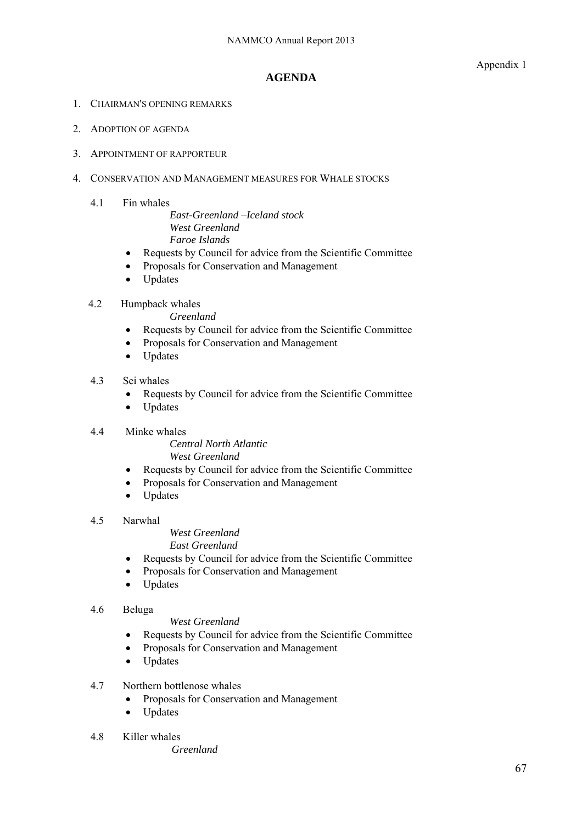Appendix 1

## **AGENDA**

- 1. CHAIRMAN'S OPENING REMARKS
- 2. ADOPTION OF AGENDA
- 3. APPOINTMENT OF RAPPORTEUR
- 4. CONSERVATION AND MANAGEMENT MEASURES FOR WHALE STOCKS
	- 4.1 Fin whales

*East-Greenland –Iceland stock West Greenland Faroe Islands*

- Requests by Council for advice from the Scientific Committee
- Proposals for Conservation and Management
- Updates
- 4.2 Humpback whales

*Greenland* 

- Requests by Council for advice from the Scientific Committee
- Proposals for Conservation and Management
- Updates
- 4.3 Sei whales
	- Requests by Council for advice from the Scientific Committee
	- Updates
- 4.4 Minke whales

*Central North Atlantic West Greenland* 

- Requests by Council for advice from the Scientific Committee
- Proposals for Conservation and Management
- Updates
- 4.5 Narwhal

*West Greenland East Greenland* 

- Requests by Council for advice from the Scientific Committee
- Proposals for Conservation and Management
- Updates

#### 4.6 Beluga

### *West Greenland*

- Requests by Council for advice from the Scientific Committee
- Proposals for Conservation and Management
- Updates

#### 4.7 Northern bottlenose whales

- Proposals for Conservation and Management
- Updates
- 4.8 Killer whales

*Greenland*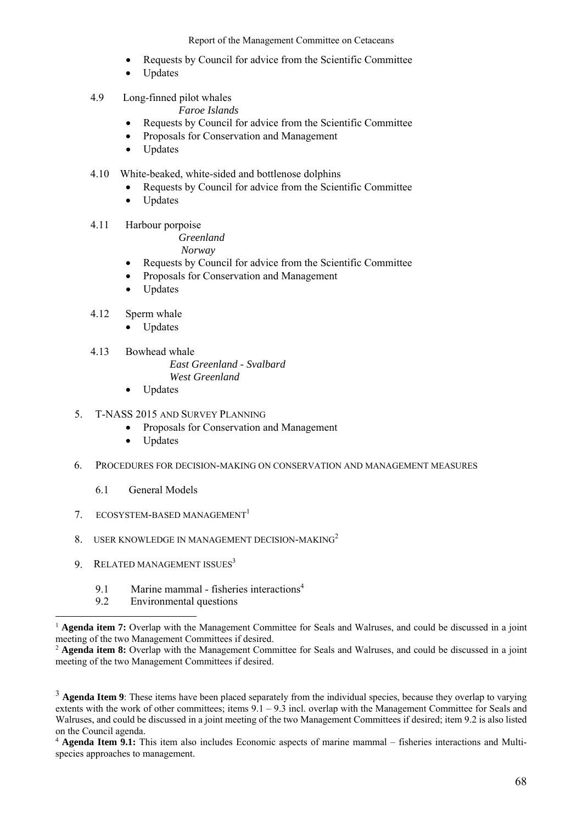Report of the Management Committee on Cetaceans

- Requests by Council for advice from the Scientific Committee
- Updates
- 4.9 Long-finned pilot whales

*Faroe Islands* 

- Requests by Council for advice from the Scientific Committee
- Proposals for Conservation and Management
- Updates
- 4.10 White-beaked, white-sided and bottlenose dolphins
	- Requests by Council for advice from the Scientific Committee
	- Updates
- 4.11 Harbour porpoise

*Greenland* 

- *Norway*
- Requests by Council for advice from the Scientific Committee
- Proposals for Conservation and Management
- Updates
- 4.12 Sperm whale
	- Updates
- 4.13 Bowhead whale

*East Greenland - Svalbard West Greenland* 

- 
- Updates
- 5. T-NASS 2015 AND SURVEY PLANNING
	- Proposals for Conservation and Management
	- Updates
- 6. PROCEDURES FOR DECISION-MAKING ON CONSERVATION AND MANAGEMENT MEASURES
	- 6.1 General Models
- 7 ECOSYSTEM-BASED MANAGEMENT<sup>1</sup>
- 8. USER KNOWLEDGE IN MANAGEMENT DECISION-MAKING<sup>2</sup>
- 9. RELATED MANAGEMENT ISSUES<sup>3</sup>

 $\overline{a}$ 

- 9.1 Marine mammal fisheries interactions<sup>4</sup>
- 9.2 Environmental questions

<sup>&</sup>lt;sup>1</sup> **Agenda item 7:** Overlap with the Management Committee for Seals and Walruses, and could be discussed in a joint meeting of the two Management Committees if desired.

<sup>&</sup>lt;sup>2</sup> **Agenda item 8:** Overlap with the Management Committee for Seals and Walruses, and could be discussed in a joint meeting of the two Management Committees if desired.

<sup>&</sup>lt;sup>3</sup> Agenda Item 9: These items have been placed separately from the individual species, because they overlap to varying extents with the work of other committees; items  $9.1 - 9.3$  incl. overlap with the Management Committee for Seals and Walruses, and could be discussed in a joint meeting of the two Management Committees if desired; item 9.2 is also listed on the Council agenda.

<sup>4</sup> **Agenda Item 9.1:** This item also includes Economic aspects of marine mammal – fisheries interactions and Multispecies approaches to management.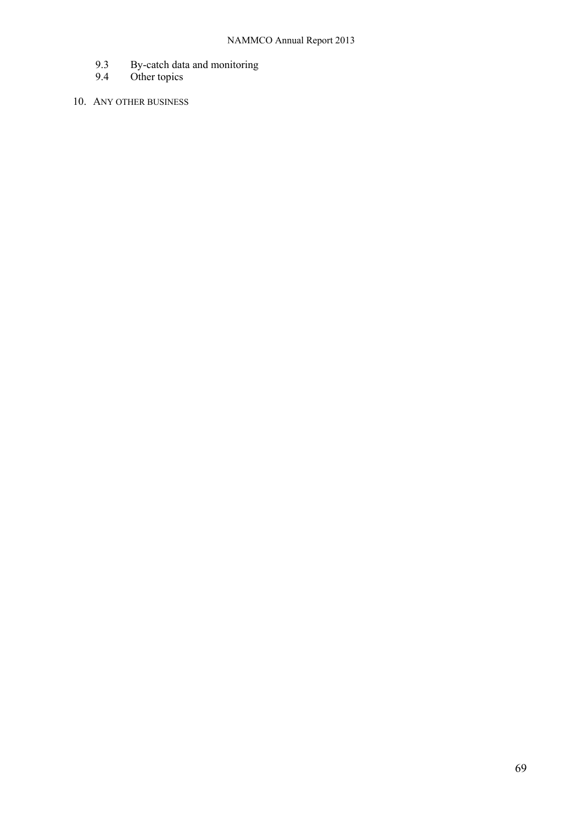- 9.3 By-catch data and monitoring
- 9.4 Other topics
- 10. ANY OTHER BUSINESS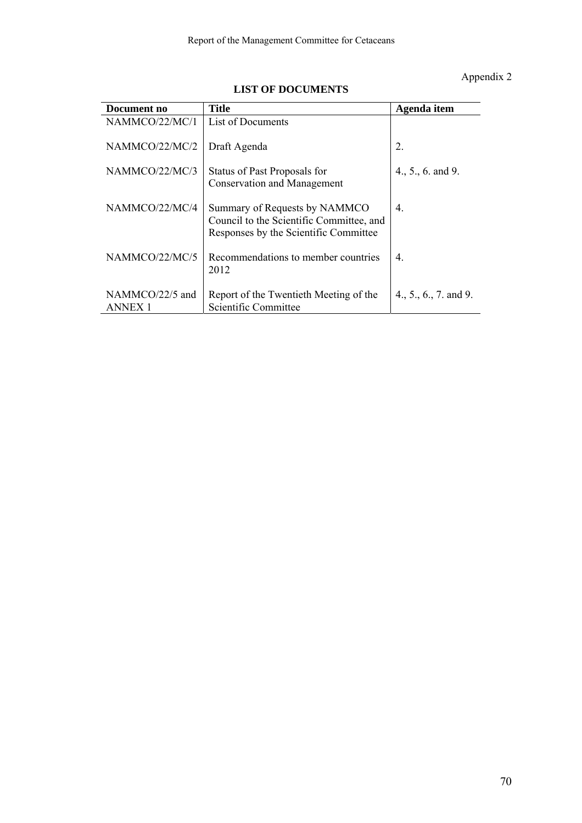# Appendix 2

| Document no                | <b>Title</b>                                                                                                       | Agenda item           |
|----------------------------|--------------------------------------------------------------------------------------------------------------------|-----------------------|
| NAMMCO/22/MC/1             | List of Documents                                                                                                  |                       |
| NAMMCO/22/MC/2             | Draft Agenda                                                                                                       | 2.                    |
| NAMMCO/22/MC/3             | Status of Past Proposals for<br><b>Conservation and Management</b>                                                 | $4., 5., 6.$ and 9.   |
| NAMMCO/22/MC/4             | Summary of Requests by NAMMCO<br>Council to the Scientific Committee, and<br>Responses by the Scientific Committee | 4.                    |
| NAMMCO/22/MC/5             | Recommendations to member countries<br>2012                                                                        | 4.                    |
| NAMMCO/22/5 and<br>ANNEX 1 | Report of the Twentieth Meeting of the<br>Scientific Committee                                                     | 4., 5., 6., 7. and 9. |

## **LIST OF DOCUMENTS**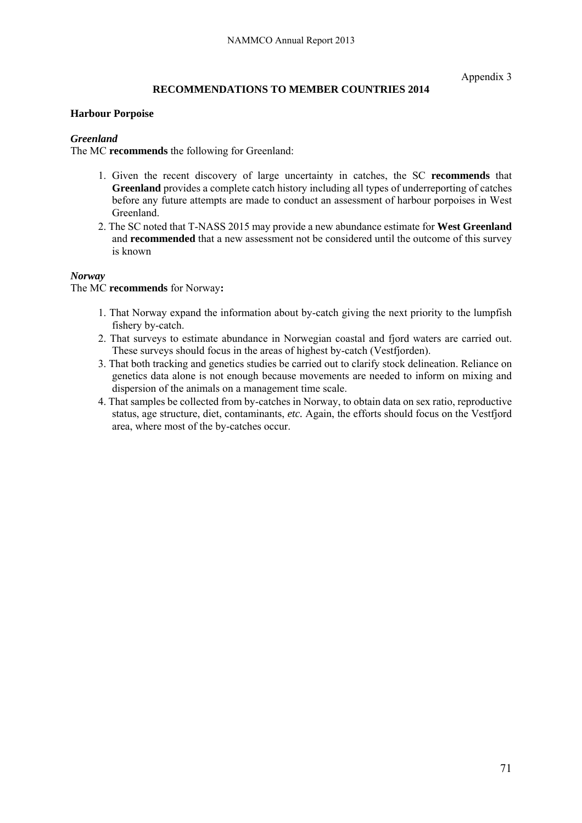Appendix 3

## **RECOMMENDATIONS TO MEMBER COUNTRIES 2014**

#### **Harbour Porpoise**

### *Greenland*

The MC **recommends** the following for Greenland:

- 1. Given the recent discovery of large uncertainty in catches, the SC **recommends** that **Greenland** provides a complete catch history including all types of underreporting of catches before any future attempts are made to conduct an assessment of harbour porpoises in West Greenland.
- 2. The SC noted that T-NASS 2015 may provide a new abundance estimate for **West Greenland**  and **recommended** that a new assessment not be considered until the outcome of this survey is known

### *Norway*

#### The MC **recommends** for Norway**:**

- 1. That Norway expand the information about by-catch giving the next priority to the lumpfish fishery by-catch.
- 2. That surveys to estimate abundance in Norwegian coastal and fjord waters are carried out. These surveys should focus in the areas of highest by-catch (Vestfjorden).
- 3. That both tracking and genetics studies be carried out to clarify stock delineation. Reliance on genetics data alone is not enough because movements are needed to inform on mixing and dispersion of the animals on a management time scale.
- 4. That samples be collected from by-catches in Norway, to obtain data on sex ratio, reproductive status, age structure, diet, contaminants, *etc.* Again, the efforts should focus on the Vestfjord area, where most of the by-catches occur.